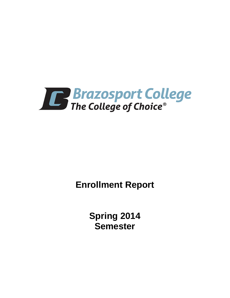

**Enrollment Report**

**Spring 2014 Semester**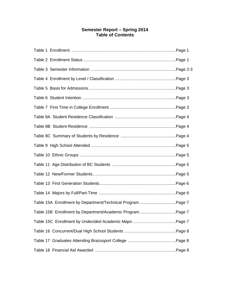# **Semester Report – Spring 2014 Table of Contents**

| Table 15B Enrollment by Department/Academic ProgramPage 7 |  |
|-----------------------------------------------------------|--|
|                                                           |  |
|                                                           |  |
|                                                           |  |
|                                                           |  |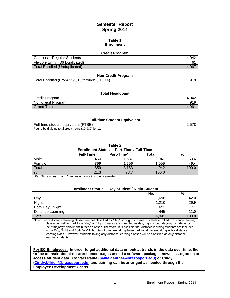# **Semester Report Spring 2014**

#### **Table 1 Enrollment**

#### **Credit Program**

| Campus – Regular Students      | 4.042 |
|--------------------------------|-------|
| Flexible Entry (36 Duplicated) |       |
| Total Enrolled (Unduplicated)  | 4.067 |

### **Non-Credit Program**

| Total Enrolled (From 12/5/13 through 5/10/14) | 919 |
|-----------------------------------------------|-----|
|-----------------------------------------------|-----|

#### **Total Headcount**

| Credit Program     | 4.042 |
|--------------------|-------|
| Non-credit Program | 919   |
| Grand Total        | 4.96' |

### **Full-time Student Equivalent**

| Full-time student equivalent (FTSE)                 |  |
|-----------------------------------------------------|--|
| Found by dividing total credit hours (30,939) by 12 |  |

**Table 2**

| <b>Enrollment Status</b> |  | <b>Part-Time / Full-Time</b> |
|--------------------------|--|------------------------------|
|                          |  |                              |

|               | <b>Full-Time</b> | Part-Time* | <b>Total</b> | %     |
|---------------|------------------|------------|--------------|-------|
| Male          | 460              | ,587       | 2,047        | 50.6  |
| Female        | 399              | 1,596      | 1,995        | 49.4  |
| Total         | 859              | 3,183      | 4,042        | 100.6 |
| $\frac{0}{0}$ | 21.3             | 78.7       | 100.0        |       |

\*Part-Time – Less than 12 semester hours in spring semester.

| <b>Enrollment Status</b> | Day Student / Night Student |      |
|--------------------------|-----------------------------|------|
|                          | No.                         | %    |
| Day                      | 1.696                       | 42.C |
| Night                    | 1,210                       | 29.9 |
| Both Day / Night         | 691                         | 17.1 |
| <b>Distance Learning</b> | 445                         | 11.C |
| Total                    | 4.042                       | 100. |

Note: Since distance learning classes are not classified as "Day" or "Night" classes, students enrolled in distance learning classes as well as traditional "day" or "night" classes are classified as day, night or both day/night students by their "majority" enrollment in these classes. Therefore, it is possible that distance learning students are included in the Day, Night and Both Day/Night totals if they are taking these traditional classes along with a distance learning class. However, students taking only distance learning classes will be classified as only distance learning students.

**For BC Employees: In order to get additional data or look at trends in the data over time, the Office of Institutional Research encourages use of a software package known as Zogotech to access student data. Contact Paula [\(paula.gentner@brazosport.edu\)](mailto:paula.gentner@brazosport.edu) or Cindy [\(Cindy.Ullrich@brazosport.edu\)](mailto:Cindy.Ullrich@brazosport.edu) and training can be arranged as needed through the Employee Development Center.**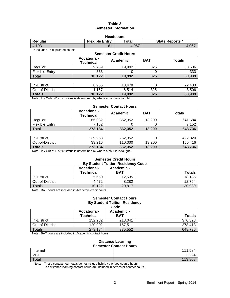# **Table 3 Semester Information**

| <b>Headcount</b>                                                    |                |       |       |  |
|---------------------------------------------------------------------|----------------|-------|-------|--|
| <b>Flexible Entry</b><br>Total<br><b>State Reports *</b><br>Regular |                |       |       |  |
| 4.103                                                               | 6 <sup>1</sup> | 4.067 | 4,067 |  |

\* Includes 36 duplicated counts

| <b>Semester Credit Hours</b>                |                                        |          |            |               |  |
|---------------------------------------------|----------------------------------------|----------|------------|---------------|--|
|                                             | <b>Vocational-</b><br><b>Technical</b> | Academic | <b>BAT</b> | <b>Totals</b> |  |
| Regular                                     | 9.789                                  | 19,992   | 825        | 30,606        |  |
| <b>Flexible Entry</b>                       | 333                                    |          | O          | 333           |  |
| Total                                       | 10,122                                 | 19,992   | 825        | 30,939        |  |
|                                             |                                        |          |            |               |  |
| In-District                                 | 8,955                                  | 13,478   |            | 22,433        |  |
| $\bigcap_{i=1}^n A_i$ $\bigcap_{i=1}^n A_i$ | $\overline{A}$                         | $C = 4$  | $\sim$     | 0.500         |  |

| Out-of-District                                                              | .167   | 6.514  | 825 | 8.506  |  |
|------------------------------------------------------------------------------|--------|--------|-----|--------|--|
| <b>Totals</b>                                                                | 10.122 | 19.992 | 825 | 30.939 |  |
| Note: In / Out-of-District status is determined by where a course is taught. |        |        |     |        |  |

#### **Semester Contact Hours**

|                       | <b>Vocational-</b><br><b>Technical</b> | Academic | <b>BAT</b> | Totals  |
|-----------------------|----------------------------------------|----------|------------|---------|
| Regular               | 266.032                                | 362,352  | 13.200     | 641.584 |
| <b>Flexible Entry</b> | 7.152                                  |          |            | 7.152   |
| Total                 | 273,184                                | 362,352  | 13.200     | 648,736 |

| In-District     | 239.968 | 252.352 |        | 492.320 |
|-----------------|---------|---------|--------|---------|
| Out-of-District | 33.216  | 110.000 | 13.200 | 156.416 |
| <b>Totals</b>   | 273,184 | 362.352 | 13.200 | 648.736 |

Note: In / Out-of-District status is determined by where a course is taught.

#### **Semester Credit Hours By Student Tuition Residency Code**

| <b>Protocolly idition its significant</b> |            |               |  |  |
|-------------------------------------------|------------|---------------|--|--|
| <b>Vocational-</b>                        | Academic - |               |  |  |
| Technical                                 | <b>BAT</b> | <b>Totals</b> |  |  |
| 5,650                                     | 12,535     | 18,185        |  |  |
| 4.472                                     | 8.282      | 12.754        |  |  |
| 10.122                                    | 20,817     | 30,939        |  |  |
|                                           | .<br>.     |               |  |  |

Note: BAT hours are included in Academic credit hours.

#### **Semester Contact Hours By Student Tuition Residency Code**

|                 | <b>Vocational-</b> | Academic-  |               |
|-----------------|--------------------|------------|---------------|
|                 | <b>Technical</b>   | <b>BAT</b> | <b>Totals</b> |
| In-District     | 152.282            | 218.041    | 370.323       |
| Out-of-District | 120.902            | 157.511    | 278.413       |
| Totals          | 273,184            | 375,552    | 648.736       |

Note: BAT hours are included in Academic contact hours.

#### **Distance Learning Semester Contact Hours**

| Internet   | EQ<br>111<br>0.504         |
|------------|----------------------------|
| <b>VCT</b> | 2.22 <sub>A</sub><br>2,224 |
| Total      | 113.808                    |

Note: These contact hour totals do not include hybrid / blended course hours.

The distance learning contact hours are included in semester contact hours.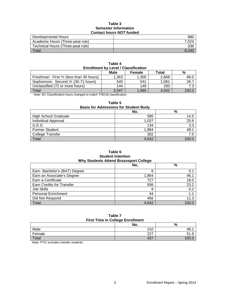### **Table 3 Semester Information Contact hours** *NOT* **funded**

| Developmental Hours               | 880   |
|-----------------------------------|-------|
| Academic Hours (Three-peat rule)  | 7.024 |
| Technical Hours (Three-peat rule) | 336   |
| $\tau$ <sub>otal</sub>            | 8.24C |

| Table 4                                     |  |  |  |  |
|---------------------------------------------|--|--|--|--|
| <b>Enrollment by Level / Classification</b> |  |  |  |  |

|                                         | Male  | Female | Total | %     |
|-----------------------------------------|-------|--------|-------|-------|
| Freshman: First Yr (less than 30 hours) | 1,363 | 1,305  | 2.668 | 66.0  |
| Sophomore: Second Yr (30-71 hours)      | 540   | 541    | 1.081 | 26.7  |
| Unclassified (72 or more hours)         | 144   | 149    | 293   | 7.3   |
| Total                                   | 2.047 | 1,995  | 4.042 | 100.C |

Note: BC Classification hours changed to match THECB classification.

## **Table 5**

# **Basis for Admissions for Student Body**

|                             | No.   | %     |
|-----------------------------|-------|-------|
| <b>High School Graduate</b> | 585   | 14.5  |
| Individual Approval         | 1,037 | 25.6  |
| G.E.D.                      | 134   | 3.3   |
| <b>Former Student</b>       | 1,984 | 49.1  |
| College Transfer            | 302   | 7.5   |
| Total                       | 4,042 | 100 C |

### **Table 6 Student Intention Why Students Attend Brazosport College**

|                                  | No.   | %     |
|----------------------------------|-------|-------|
| Earn Bachelor's (BAT) Degree     | 6     | 0.1   |
| Earn an Associate's Degree       | 1,864 | 46.1  |
| Earn a Certificate               | 727   | 18.0  |
| <b>Earn Credits for Transfer</b> | 936   | 23.2  |
| <b>Job Skills</b>                | 9     | 0.2   |
| <b>Personal Enrichment</b>       | 44    | 1.1   |
| Did Not Respond                  | 456   | 11.3  |
| Total                            | 4.042 | 100.0 |

#### **Table 7 First Time in College Enrollment**

| <b>THOL THIS IN OURGO EMPIRION</b> |            |                    |  |
|------------------------------------|------------|--------------------|--|
|                                    | No.        | $\mathbf{0}$<br>70 |  |
| Male                               | 210<br>∠⊥∪ |                    |  |
| Female                             | ר פ        | ◡ ・・               |  |
| Total                              | 107<br>40, |                    |  |

Note: FTIC excludes transfer students.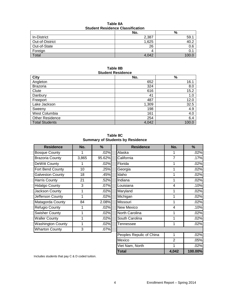| <b>Student Residence Classification</b> |       |       |  |  |
|-----------------------------------------|-------|-------|--|--|
|                                         | No.   | %     |  |  |
| In-District                             | 2,387 | 59.1  |  |  |
| Out-of-District                         | 1,625 | 40.2  |  |  |
| Out-of-State                            | 26    | 0.6   |  |  |
| Foreign                                 |       |       |  |  |
| Total                                   | 4.042 | 100.0 |  |  |

**Table 8A Student Residence Classification**

## **Table 8B Student Residence**

| <b>City</b>            | No.   | $\%$  |
|------------------------|-------|-------|
| Angleton               | 652   | 16.1  |
| <b>Brazoria</b>        | 324   | 8.0   |
| Clute                  | 616   | 15.2  |
| Danbury                | 41    | 1.0   |
| Freeport               | 487   | 12.0  |
| Lake Jackson           | 1,309 | 32.5  |
| Sweeny                 | 198   | 4.9   |
| West Columbia          | 161   | 4.0   |
| <b>Other Residence</b> | 254   | 6.4   |
| <b>Total Students</b>  | 4,042 | 100.0 |

**Table 8C Summary of Students by Residence**

| <b>Residence</b>         | No.   | $\frac{9}{6}$ |
|--------------------------|-------|---------------|
| <b>Bosque County</b>     |       | .02%          |
| <b>Brazoria County</b>   | 3,865 | 95.62%        |
| <b>DeWitt County</b>     | 1     | .02%          |
| Fort Bend County         | 10    | .25%          |
| <b>Galveston County</b>  | 18    | .45%          |
| <b>Harris County</b>     | 21    | .52%          |
| <b>Hidalgo County</b>    | 3     | .07%          |
| Jackson County           | 1     | .02%          |
| Jefferson County         | 1     | .02%          |
| Matagorda County         | 84    | 2.08%         |
| <b>Refugio County</b>    | 1     | .02%          |
| <b>Swisher County</b>    | 1     | .02%          |
| <b>Waller County</b>     | 1     | .02%          |
| <b>Washington County</b> | 1     | .02%          |
| <b>Wharton County</b>    | 3     | .07%          |

| <b>Residence</b>        | No.   | %      | <b>Residence</b>         | No.            | $\%$    |
|-------------------------|-------|--------|--------------------------|----------------|---------|
| <b>Bosque County</b>    | 1     | .02%   | Alaska                   | 1              | .02%    |
| Brazoria County         | 3,865 | 95.62% | California               | 7              | .17%    |
| DeWitt County           | 1     | .02%   | Florida                  | 1              | .02%    |
| Fort Bend County        | 10    | .25%   | Georgia                  | 1              | .02%    |
| <b>Galveston County</b> | 18    | .45%   | Idaho                    | 1              | .02%    |
| <b>Harris County</b>    | 21    | .52%   | Indiana                  | 1              | .02%    |
| <b>Hidalgo County</b>   | 3     | .07%   | Louisiana                | 4              | .10%    |
| Jackson County          | 1     | .02%   | Maryland                 | 1              | .02%    |
| Jefferson County        | 1     | .02%   | Michigan                 | 1              | .02%    |
| Matagorda County        | 84    | 2.08%  | Missouri                 | 1              | .02%    |
| Refugio County          | 1     | .02%   | New Mexico               | $\overline{4}$ | .10%    |
| <b>Swisher County</b>   | 1     | .02%   | North Carolina           | 1              | .02%    |
| <b>Waller County</b>    | 1     | .02%   | South Carolina           | 1              | .02%    |
| Washington County       | 1     | .02%   | Tennessee                | 1              | .02%    |
| <b>Wharton County</b>   | 3     | .07%   |                          |                |         |
|                         |       |        | Peoples Repulic of China | 1              | .02%    |
|                         |       |        | Mexico                   | $\overline{2}$ | .05%    |
|                         |       |        | Viet Nam, North          | 1              | .02%    |
|                         |       |        | <b>Total</b>             | 4,042          | 100.00% |

Includes students that pay C & D coded tuition.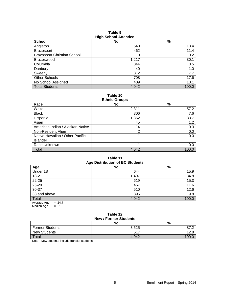| <b>HIGH SCHOOL ALLOHUEU</b>        |       |       |  |  |
|------------------------------------|-------|-------|--|--|
| <b>School</b>                      | No.   | $\%$  |  |  |
| Angleton                           | 540   | 13.4  |  |  |
| <b>Brazosport</b>                  | 462   | 11.4  |  |  |
| <b>Brazosport Christian School</b> | 10    | 0.2   |  |  |
| <b>Brazoswood</b>                  | 1,217 | 30.1  |  |  |
| Columbia                           | 344   | 8.5   |  |  |
| Danbury                            | 40    | 1.0   |  |  |
| Sweeny                             | 312   | 7.7   |  |  |
| <b>Other Schools</b>               | 708   | 17.6  |  |  |
| No School Assigned                 | 409   | 10.1  |  |  |
| <b>Total Students</b>              | 4,042 | 100.0 |  |  |

**Table 9 High School Attended**

**Table 10**

| <b>Ethnic Groups</b>             |       |       |  |  |
|----------------------------------|-------|-------|--|--|
| Race                             | No.   | $\%$  |  |  |
| White                            | 2,311 | 57.2  |  |  |
| <b>Black</b>                     | 306   | 7.6   |  |  |
| Hispanic                         | 1,362 | 33.7  |  |  |
| Asian                            | 45    | 1.2   |  |  |
| American Indian / Alaskan Native | 14    | 0.3   |  |  |
| Non-Resident Alien               | 2     | 0.0   |  |  |
| Native Hawaiian / Other Pacific  |       | 0.0   |  |  |
| Islander                         |       |       |  |  |
| Race Unknown                     |       | 0.0   |  |  |
| Total                            | 4,042 | 100.0 |  |  |

## **Table 11 Age Distribution of BC Students**

|                       | $1.9$ - $-1.0$ $-1.0$ and $-1.0$ $-1.0$ $-1.0$ |       |
|-----------------------|------------------------------------------------|-------|
| Age                   | No.                                            | %     |
| Under 18              | 644                                            | 15.9  |
| $18 - 21$             | 1,407                                          | 34.8  |
| 22-25                 | 619                                            | 15.3  |
| 26-29                 | 467                                            | 11.6  |
| 30-37                 | 510                                            | 12.6  |
| 38 and above          | 395                                            | 9.8   |
| Total                 | 4,042                                          | 100.0 |
| $-247$<br>Average Age |                                                |       |

Average Age  $= 24.7$ Median Age  $= 21.0$ 

#### **Table 12 New / Former Students**

| <b>NEW / FUILIEL SLUUEIILS</b><br>No.<br>% |       |     |  |  |
|--------------------------------------------|-------|-----|--|--|
| <b>Former Students</b>                     | 3,525 |     |  |  |
| <b>New Students</b>                        | 517   |     |  |  |
| Total                                      | 4.042 | 100 |  |  |

Note: New students include transfer students.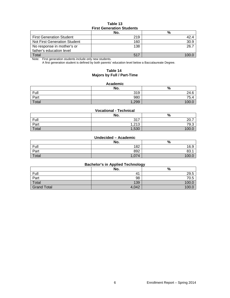## **Table 13 First Generation Students**

|                                 | No. | %    |  |  |
|---------------------------------|-----|------|--|--|
| <b>First Generation Student</b> | 219 | 42.4 |  |  |
| Not First Generation Student    | 160 | 30.9 |  |  |
| No response in mother's or      | 138 | 26.7 |  |  |
| father's education level        |     |      |  |  |
| Total                           | 517 |      |  |  |

Note: First generation students include only new students.

A first generation student is defined by both parents' education level below a Baccalaureate Degree.

## **Table 14 Majors by Full / Part-Time**

#### **Academic**

|       | No.   | %     |
|-------|-------|-------|
| Full  | 319   | 24.6  |
| Part  | 980   | 75.4  |
| Total | 1,299 | 100.0 |

### **Vocational - Technical**

|       | No.               | %                   |
|-------|-------------------|---------------------|
| Full  | 247<br>، ر ب      | $\cap$<br>-<br>20.1 |
| Part  | 1.010<br>ن ا ے, ا | 79.3                |
| Total | 1,530             | <b>100</b>          |

#### **Undecided – Academic**

|       | No.  | %          |
|-------|------|------------|
| Full  | 182  | 16.9       |
| Part  | 892  | nn.<br>83. |
| Total | ,074 |            |

# **Bachelor's in Applied Technology**

|                    | No.            | %     |
|--------------------|----------------|-------|
| Full               | 4 <sup>1</sup> | 29.5  |
| Part               | 98             | 70.5  |
| Total              | 139            | 100.0 |
| <b>Grand Total</b> | 4,042          | 100.0 |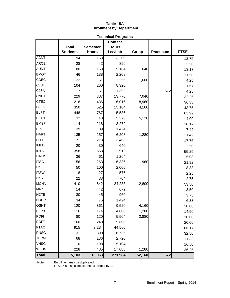## **Table 15A Enrollment by Department**

|              |                 |                 | <b>Technical Programs</b>      |                |                  |              |
|--------------|-----------------|-----------------|--------------------------------|----------------|------------------|--------------|
|              | <b>Total</b>    | <b>Semester</b> | <b>Contact</b><br><b>Hours</b> |                |                  |              |
|              | <b>Students</b> | <b>Hours</b>    | Lec/Lab                        | Co-op          | <b>Practicum</b> | <b>FTSE</b>  |
| <b>ACNT</b>  | 94              | 153             | 3,200                          |                |                  |              |
| <b>ARCE</b>  | 28              | 42              | 896                            |                |                  | 12.75        |
| <b>AUMT</b>  | 80              | 158             |                                | 640            |                  | 3.50         |
| <b>BMGT</b>  | 46              | 138             | 5,184                          |                |                  | 13.17        |
| <b>CDEC</b>  | 22              | 51              | 2,208<br>2,256                 | 1,600          |                  | 11.50        |
| <b>CJLE</b>  | 104             | 260             | 8,320                          |                |                  | 4.25         |
| <b>CJSA</b>  | 17              | 51              |                                |                | 672              | 21.67        |
| <b>CNBT</b>  | 229             |                 | 1,392                          |                |                  | 4.25         |
| <b>CTEC</b>  | 218             | 387<br>436      | 13,776<br>16,016               | 7,040<br>8,960 |                  | 32.25        |
| <b>DFTG</b>  | 350             |                 |                                |                |                  | 36.33        |
| <b>ELPT</b>  | 448             | 525<br>767      | 15,104                         | 4,160          |                  | 43.75        |
| <b>ELTN</b>  | 32              | 48              | 15,536                         |                |                  | 63.92        |
| <b>EMSP</b>  | 114             | 218             | 5,376<br>8,272                 | 5,120          |                  | 4.00         |
| <b>EPCT</b>  | 39              | 89              |                                |                |                  | 18.17        |
| <b>HART</b>  | 135             | 257             | 1,424                          | 1,280          |                  | 7.42         |
| <b>HITT</b>  | 71              | 213             | 6,208<br>3,408                 |                |                  | 21.42        |
| <b>IMED</b>  | 20              | 30              | 640                            |                |                  | 17.75        |
| <b>INTC</b>  | 358             | 663             | 12,912                         |                |                  | 2.50         |
| <b>ITNW</b>  | 36              | 61              | 1,264                          |                |                  | 55.25        |
| <b>ITSC</b>  | 156             | 263             | 6,336                          | 960            |                  | 5.08         |
| <b>ITSE</b>  | 50              | 100             | 2,000                          |                |                  | 21.92        |
| <b>ITSW</b>  | 18              | 27              | 576                            |                |                  | 8.33<br>2.25 |
| <b>ITSY</b>  | 22              | 33              | 704                            |                |                  | 2.75         |
| <b>MCHN</b>  | 410             | 642             | 24,288                         | 12,800         |                  | 53.50        |
| <b>MRKG</b>  | 14              | 42              | 672                            |                |                  | 3.50         |
| <b>NDTE</b>  | 30              | 45              | 960                            |                |                  | 3.75         |
| <b>NUCP</b>  | 34              | 76              | 1,424                          |                |                  | 6.33         |
| <b>OSHT</b>  | 120             | 361             | 9,520                          | 4,160          |                  | 30.08        |
| PFPB         | 116             | 174             | 4,800                          | 1,280          |                  | 14.50        |
| <b>POFI</b>  | 80              | 120             | 5,504                          | 2,880          |                  | 10.00        |
| <b>POFT</b>  | 160             | 240             | 5,600                          |                |                  | 20.00        |
| <b>PTAC</b>  | 915             | 2,234           | 44,560                         |                |                  | 186.17       |
| <b>RNSG</b>  | 131             | 390             | 16,736                         |                |                  | 32.50        |
| <b>TECM</b>  | 68              | 136             | 2,720                          |                |                  | 11.33        |
| <b>VNSG</b>  | 110             | 198             | 5,104                          |                |                  | 16.50        |
| <b>WLDG</b>  | 228             | 435             | 17,088                         | 1,280          |                  | 36.25        |
| <b>Total</b> | 5,103           | 10,063          | 271,984                        | 52,160         | 672              |              |

Note: Enrollment may be duplicated.

FTSE = spring semester hours divided by 12.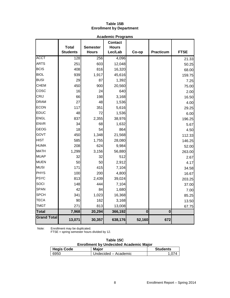# **Table 15B Enrollment by Department**

| <b>Academic Programs</b> |                                 |                                 |                                           |          |                  |             |
|--------------------------|---------------------------------|---------------------------------|-------------------------------------------|----------|------------------|-------------|
|                          | <b>Total</b><br><b>Students</b> | <b>Semester</b><br><b>Hours</b> | <b>Contact</b><br><b>Hours</b><br>Lec/Lab | Co-op    | <b>Practicum</b> | <b>FTSE</b> |
| <b>ACCT</b>              | 128                             | 256                             | 4,096                                     |          |                  | 21.33       |
| <b>ARTS</b>              | 251                             | 603                             | 12,048                                    |          |                  | 50.25       |
| <b>BCIS</b>              | 408                             | 816                             | 16,320                                    |          |                  | 68.00       |
| <b>BIOL</b>              | 939                             | 1,917                           | 45,616                                    |          |                  | 159.75      |
| <b>BUSI</b>              | 29                              | 87                              | 1,392                                     |          |                  | 7.25        |
| <b>CHEM</b>              | 450                             | 900                             | 20,560                                    |          |                  | 75.00       |
| cosc                     | 16                              | 24                              | 640                                       |          |                  | 2.00        |
| CRIJ                     | 66                              | 198                             | 3,168                                     |          |                  | 16.50       |
| <b>DRAM</b>              | 27                              | 48                              | 1,536                                     |          |                  | 4.00        |
| <b>ECON</b>              | 117                             | 351                             | 5,616                                     |          |                  | 29.25       |
| <b>EDUC</b>              | 48                              | 72                              | 1,536                                     |          |                  | 6.00        |
| <b>ENGL</b>              | 837                             | 2,355                           | 38,976                                    |          |                  | 196.25      |
| <b>ENVR</b>              | 34                              | 68                              | 1,632                                     |          |                  | 5.67        |
| <b>GEOG</b>              | 18                              | 54                              | 864                                       |          |                  | 4.50        |
| GOVT                     | 450                             | 1,348                           | 21,568                                    |          |                  | 112.33      |
| <b>HIST</b>              | 585                             | 1,755                           | 28,080                                    |          |                  | 146.25      |
| <b>HUMA</b>              | 208                             | 624                             | 9,984                                     |          |                  | 52.00       |
| <b>MATH</b>              | 1,299                           | 3,156                           | 56,880                                    |          |                  | 263.00      |
| <b>MUAP</b>              | 32                              | 32                              | 512                                       |          |                  | 2.67        |
| <b>MUEN</b>              | 50                              | 50                              | 2,912                                     |          |                  | 4.17        |
| <b>MUSI</b>              | 171                             | 415                             | 7,104                                     |          |                  | 34.58       |
| <b>PHYS</b>              | 100                             | 200                             | 4,800                                     |          |                  | 16.67       |
| <b>PSYC</b>              | 813                             | 2,439                           | 39,024                                    |          |                  | 203.25      |
| SOCI                     | 148                             | 444                             | 7,104                                     |          |                  | 37.00       |
| <b>SPAN</b>              | 42                              | 84                              | 1,680                                     |          |                  | 7.00        |
| <b>SPCH</b>              | 341                             | 1,023                           | 16,368                                    |          |                  | 85.25       |
| <b>TECA</b>              | 90                              | 162                             | 3,168                                     |          |                  | 13.50       |
| <b>TMGT</b>              | 271                             | 813                             | 13,008                                    |          |                  | 67.75       |
| <b>Total</b>             | 7,968                           | 20,294                          | 366,192                                   | $\bf{0}$ | $\mathbf 0$      |             |
| <b>Grand Total</b>       | 13,071                          | 30,357                          | 638,176                                   | 52,160   | 672              |             |

Note: Enrollment may be duplicated.

FTSE = spring semester hours divided by 12.

| Table 15C                                     |  |  |  |  |
|-----------------------------------------------|--|--|--|--|
| <b>Enrollment by Undecided Academic Major</b> |  |  |  |  |

| <b>Hegis Code</b> | <b>Major</b>         | <b>Students</b> |
|-------------------|----------------------|-----------------|
| 6950              | Undecided - Academic | 074             |